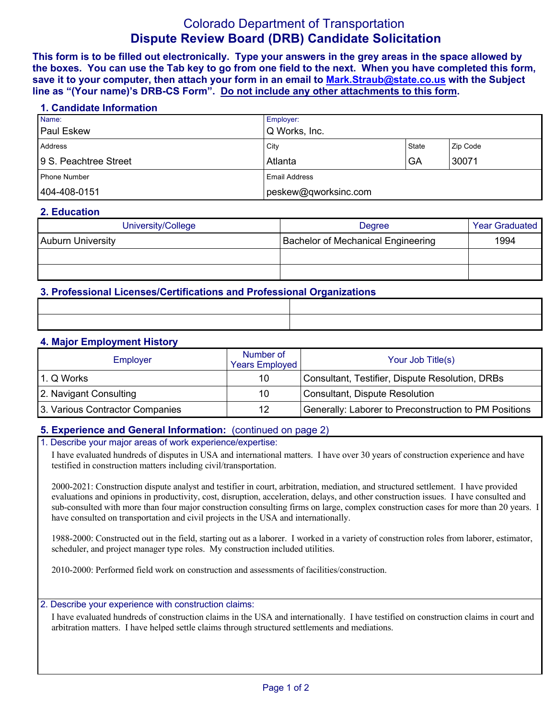# Colorado Department of Transportation **Dispute Review Board (DRB) Candidate Solicitation**

**This form is to be filled out electronically. Type your answers in the grey areas in the space allowed by the boxes. You can use the Tab key to go from one field to the next. When you have completed this form, save it to your computer, then attach your form in an email to Mark.Straub@state.co.us with the Subject line as "(Your name)'s DRB-CS Form". Do not include any other attachments to this form.**

#### **1. Candidate Information**

| Name:                 | <b>Employer:</b>     |       |          |
|-----------------------|----------------------|-------|----------|
| <b>Paul Eskew</b>     | Q Works, Inc.        |       |          |
| Address               | City                 | State | Zip Code |
| 9 S. Peachtree Street | Atlanta              | GA    | 30071    |
| Phone Number          | <b>Email Address</b> |       |          |
| 404-408-0151          | peskew@qworksinc.com |       |          |

### **2. Education**

| University/College       | Degree                                    | <b>Year Graduated</b> |
|--------------------------|-------------------------------------------|-----------------------|
| <b>Auburn University</b> | <b>Bachelor of Mechanical Engineering</b> | 1994                  |
|                          |                                           |                       |
|                          |                                           |                       |

# **3. Professional Licenses/Certifications and Professional Organizations**

### **4. Major Employment History**

| Employer                        | Number of<br><b>Years Employed</b> | Your Job Title(s)                                     |
|---------------------------------|------------------------------------|-------------------------------------------------------|
| 1. Q Works                      | 10                                 | Consultant, Testifier, Dispute Resolution, DRBs       |
| 2. Navigant Consulting          | 10                                 | Consultant, Dispute Resolution                        |
| 3. Various Contractor Companies | 12                                 | Generally: Laborer to Preconstruction to PM Positions |

# **5. Experience and General Information:** (continued on page 2)

#### 1. Describe your major areas of work experience/expertise:

I have evaluated hundreds of disputes in USA and international matters. I have over 30 years of construction experience and have testified in construction matters including civil/transportation.

2000-2021: Construction dispute analyst and testifier in court, arbitration, mediation, and structured settlement. I have provided evaluations and opinions in productivity, cost, disruption, acceleration, delays, and other construction issues. I have consulted and sub-consulted with more than four major construction consulting firms on large, complex construction cases for more than 20 years. I have consulted on transportation and civil projects in the USA and internationally.

1988-2000: Constructed out in the field, starting out as a laborer. I worked in a variety of construction roles from laborer, estimator, scheduler, and project manager type roles. My construction included utilities.

2010-2000: Performed field work on construction and assessments of facilities/construction.

#### 2. Describe your experience with construction claims:

I have evaluated hundreds of construction claims in the USA and internationally. I have testified on construction claims in court and arbitration matters. I have helped settle claims through structured settlements and mediations.